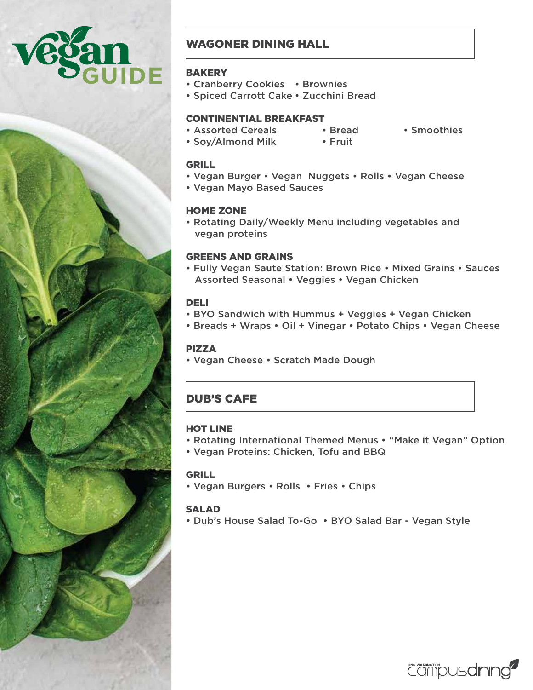



# WAGONER DINING HALL

## **BAKERY**

- Cranberry Cookies Brownies
- Spiced Carrott Cake Zucchini Bread

## CONTINENTIAL BREAKFAST

- Assorted Cereals Bread Smoothies
	-
- Soy/Almond Milk Fruit
- 

- GRILL
- Vegan Burger Vegan Nuggets Rolls Vegan Cheese
- Vegan Mayo Based Sauces

## HOME ZONE

• Rotating Daily/Weekly Menu including vegetables and vegan proteins

## GREENS AND GRAINS

• Fully Vegan Saute Station: Brown Rice • Mixed Grains • Sauces Assorted Seasonal • Veggies • Vegan Chicken

## DELI

- BYO Sandwich with Hummus + Veggies + Vegan Chicken
- Breads + Wraps Oil + Vinegar Potato Chips Vegan Cheese

## PIZZA

• Vegan Cheese • Scratch Made Dough

# DUB'S CAFE

## HOT LINE

- Rotating International Themed Menus "Make it Vegan" Option
- Vegan Proteins: Chicken, Tofu and BBQ

## GRILL

• Vegan Burgers • Rolls • Fries • Chips

## SALAD

• Dub's House Salad To-Go • BYO Salad Bar - Vegan Style

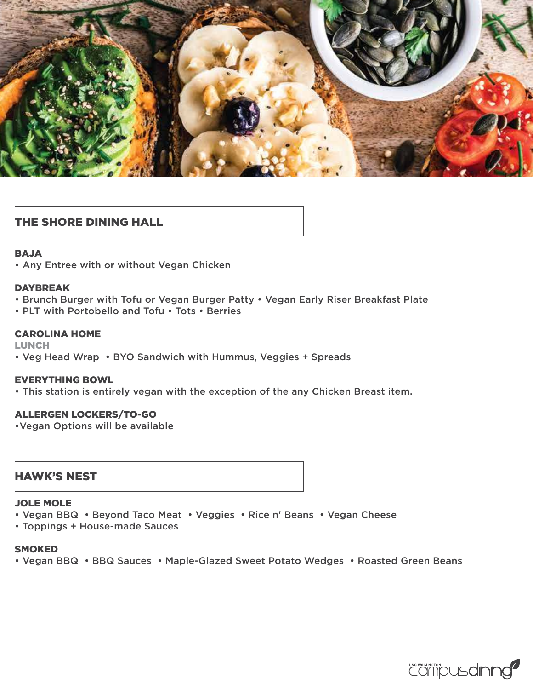

## THE SHORE DINING HALL

### BAJA

• Any Entree with or without Vegan Chicken

### DAYBREAK

- Brunch Burger with Tofu or Vegan Burger Patty Vegan Early Riser Breakfast Plate
- PLT with Portobello and Tofu Tots Berries

### CAROLINA HOME

LUNCH

• Veg Head Wrap • BYO Sandwich with Hummus, Veggies + Spreads

### EVERYTHING BOWL

• This station is entirely vegan with the exception of the any Chicken Breast item.

### ALLERGEN LOCKERS/TO-GO

•Vegan Options will be available

## HAWK'S NEST

### JOLE MOLE

- Vegan BBQ Beyond Taco Meat Veggies Rice n' Beans Vegan Cheese
- Toppings + House-made Sauces

#### SMOKED

• Vegan BBQ • BBQ Sauces • Maple-Glazed Sweet Potato Wedges • Roasted Green Beans

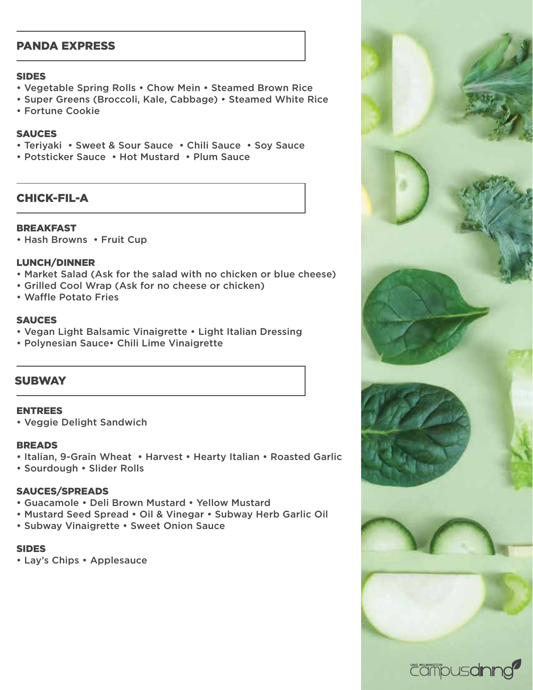# PANDA EXPRESS

#### SIDES

- Vegetable Spring Rolls Chow Mein Steamed Brown Rice
- Super Greens (Broccoli, Kale, Cabbage) Steamed White Rice
- Fortune Cookie

### **SAUCES**

- Teriyaki Sweet & Sour Sauce Chili Sauce Soy Sauce
- Potsticker Sauce Hot Mustard Plum Sauce

## CHICK-FIL-A

## BREAKFAST

• Hash Browns • Fruit Cup

## LUNCH/DINNER

- Market Salad (Ask for the salad with no chicken or blue cheese)
- Grilled Cool Wrap (Ask for no cheese or chicken)
- Waffle Potato Fries

### **SAUCES**

- Vegan Light Balsamic Vinaigrette Light Italian Dressing
- Polynesian Sauce• Chili Lime Vinaigrette

## **SUBWAY**

## ENTREES

• Veggie Delight Sandwich

### BREADS

- Italian, 9-Grain Wheat Harvest Hearty Italian Roasted Garlic
- Sourdough Slider Rolls

## SAUCES/SPREADS

- Guacamole Deli Brown Mustard Yellow Mustard
- Mustard Seed Spread Oil & Vinegar Subway Herb Garlic Oil
- Subway Vinaigrette Sweet Onion Sauce

## SIDES

• Lay's Chips • Applesauce